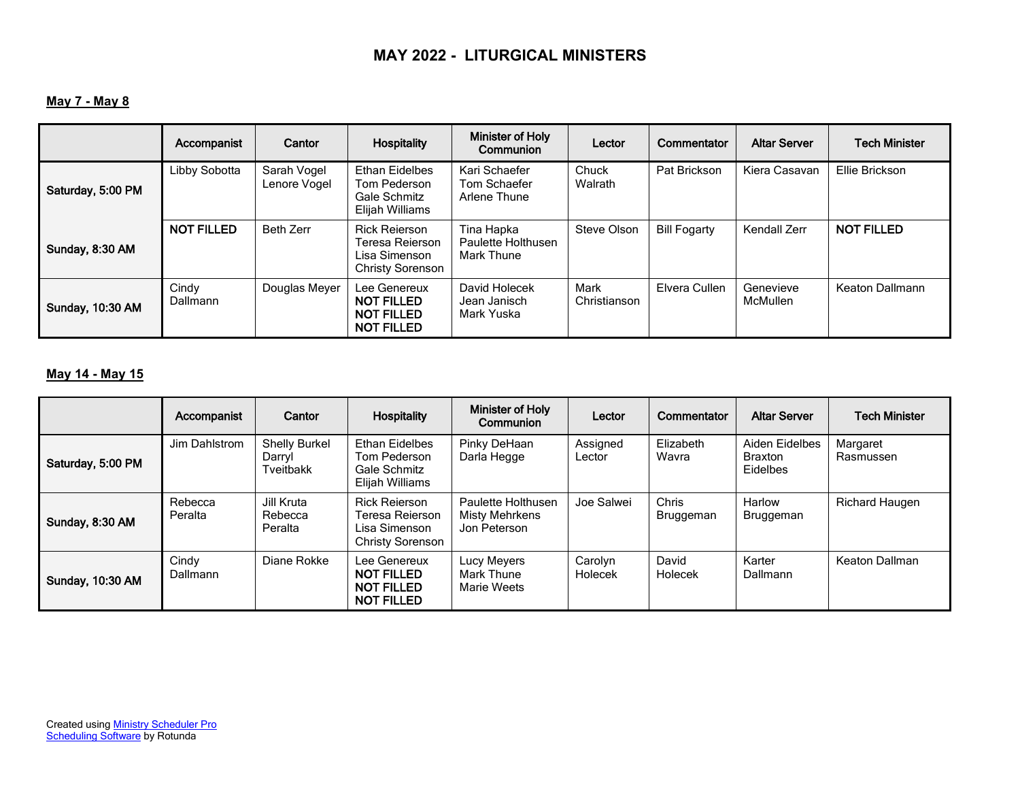# **May 7 - May 8**

|                         | Accompanist              | Cantor                      | Hospitality                                                                         | <b>Minister of Holy</b><br><b>Communion</b>    | Lector               | Commentator         | <b>Altar Server</b>          | <b>Tech Minister</b> |
|-------------------------|--------------------------|-----------------------------|-------------------------------------------------------------------------------------|------------------------------------------------|----------------------|---------------------|------------------------------|----------------------|
| Saturday, 5:00 PM       | Libby Sobotta            | Sarah Vogel<br>Lenore Vogel | <b>Ethan Eidelbes</b><br>Tom Pederson<br>Gale Schmitz<br>Elijah Williams            | Kari Schaefer<br>Tom Schaefer<br>Arlene Thune  | Chuck<br>Walrath     | Pat Brickson        | Kiera Casavan                | Ellie Brickson       |
| Sunday, 8:30 AM         | <b>NOT FILLED</b>        | Beth Zerr                   | <b>Rick Reierson</b><br>Teresa Reierson<br>Lisa Simenson<br><b>Christy Sorenson</b> | Tina Hapka<br>Paulette Holthusen<br>Mark Thune | Steve Olson          | <b>Bill Fogarty</b> | <b>Kendall Zerr</b>          | <b>NOT FILLED</b>    |
| <b>Sunday, 10:30 AM</b> | Cindy<br><b>Dallmann</b> | Douglas Meyer               | Lee Genereux<br><b>NOT FILLED</b><br><b>NOT FILLED</b><br><b>NOT FILLED</b>         | David Holecek<br>Jean Janisch<br>Mark Yuska    | Mark<br>Christianson | Elvera Cullen       | Genevieve<br><b>McMullen</b> | Keaton Dallmann      |

### **May 14 - May 15**

|                         | Accompanist        | Cantor                                      | <b>Hospitality</b>                                                                  | <b>Minister of Holy</b><br>Communion                 | Lector             | <b>Commentator</b>        | <b>Altar Server</b>                          | <b>Tech Minister</b>  |
|-------------------------|--------------------|---------------------------------------------|-------------------------------------------------------------------------------------|------------------------------------------------------|--------------------|---------------------------|----------------------------------------------|-----------------------|
| Saturday, 5:00 PM       | Jim Dahlstrom      | <b>Shelly Burkel</b><br>Darryl<br>Tveitbakk | <b>Ethan Eidelbes</b><br>Tom Pederson<br>Gale Schmitz<br>Elijah Williams            | Pinky DeHaan<br>Darla Hegge                          | Assigned<br>Lector | Elizabeth<br>Wavra        | Aiden Eidelbes<br><b>Braxton</b><br>Eidelbes | Margaret<br>Rasmussen |
| Sunday, 8:30 AM         | Rebecca<br>Peralta | Jill Kruta<br>Rebecca<br>Peralta            | <b>Rick Reierson</b><br>Teresa Reierson<br>Lisa Simenson<br><b>Christy Sorenson</b> | Paulette Holthusen<br>Misty Mehrkens<br>Jon Peterson | Joe Salwei         | <b>Chris</b><br>Bruggeman | Harlow<br>Bruggeman                          | Richard Haugen        |
| <b>Sunday, 10:30 AM</b> | Cindy<br>Dallmann  | Diane Rokke                                 | Lee Genereux<br><b>NOT FILLED</b><br>NOT FILLED<br><b>NOT FILLED</b>                | Lucy Meyers<br>Mark Thune<br>Marie Weets             | Carolyn<br>Holecek | David<br>Holecek          | Karter<br>Dallmann                           | Keaton Dallman        |